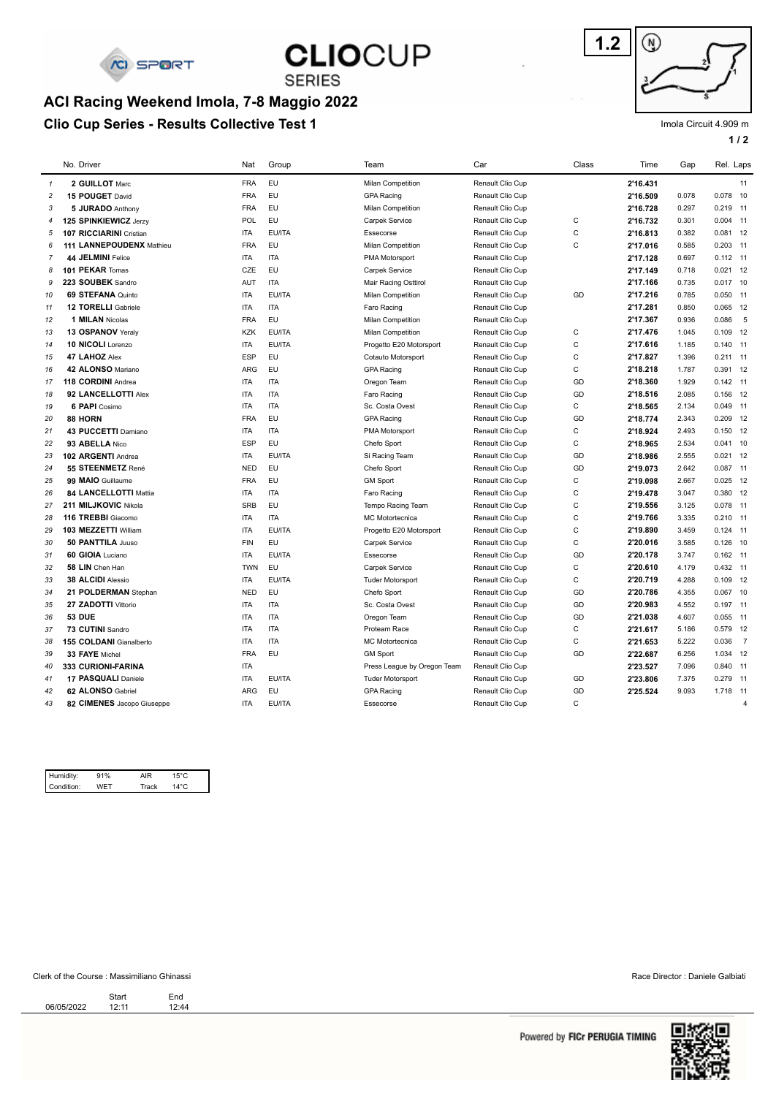

## **CLIOCUP**

**SERIES ACI Racing Weekend Imola, 7-8 Maggio 2022**

### **Clio Cup Series - Results Collective Test 1**



### Imola Circuit 4.909 m

**1 / 2**

|                | No. Driver                   | Nat        | Group         | Team                        | Car              | Class        | Time     | Gap   | Rel. Laps  |                |
|----------------|------------------------------|------------|---------------|-----------------------------|------------------|--------------|----------|-------|------------|----------------|
| $\mathbf{1}$   | 2 GUILLOT Marc               | <b>FRA</b> | EU            | Milan Competition           | Renault Clio Cup |              | 2'16.431 |       |            | 11             |
| $\overline{c}$ | 15 POUGET David              | <b>FRA</b> | <b>EU</b>     | <b>GPA Racing</b>           | Renault Clio Cup |              | 2'16.509 | 0.078 | $0.078$ 10 |                |
| 3              | 5 JURADO Anthony             | <b>FRA</b> | EU            | Milan Competition           | Renault Clio Cup |              | 2'16.728 | 0.297 | $0.219$ 11 |                |
| $\overline{4}$ | 125 SPINKIEWICZ Jerzy        | POL        | EU            | Carpek Service              | Renault Clio Cup | $\mathbf C$  | 2'16.732 | 0.301 | $0.004$ 11 |                |
| 5              | 107 RICCIARINI Cristian      | <b>ITA</b> | EU/ITA        | Essecorse                   | Renault Clio Cup | $\mathsf C$  | 2'16.813 | 0.382 | $0.081$ 12 |                |
| 6              | 111 LANNEPOUDENX Mathieu     | <b>FRA</b> | <b>EU</b>     | <b>Milan Competition</b>    | Renault Clio Cup | C            | 2'17.016 | 0.585 | $0.203$ 11 |                |
| $\overline{7}$ | 44 JELMINI Felice            | <b>ITA</b> | <b>ITA</b>    | PMA Motorsport              | Renault Clio Cup |              | 2'17.128 | 0.697 | $0.112$ 11 |                |
| 8              | 101 PEKAR Tomas              | CZE        | <b>EU</b>     | Carpek Service              | Renault Clio Cup |              | 2'17.149 | 0.718 | $0.021$ 12 |                |
| 9              | 223 SOUBEK Sandro            | <b>AUT</b> | <b>ITA</b>    | Mair Racing Osttirol        | Renault Clio Cup |              | 2'17.166 | 0.735 | $0.017$ 10 |                |
| 10             | 69 STEFANA Quinto            | <b>ITA</b> | EU/ITA        | Milan Competition           | Renault Clio Cup | GD           | 2'17.216 | 0.785 | $0.050$ 11 |                |
| 11             | 12 TORELLI Gabriele          | <b>ITA</b> | <b>ITA</b>    | Faro Racing                 | Renault Clio Cup |              | 2'17.281 | 0.850 | $0.065$ 12 |                |
| 12             | <b>1 MILAN Nicolas</b>       | <b>FRA</b> | <b>EU</b>     | Milan Competition           | Renault Clio Cup |              | 2'17.367 | 0.936 | 0.086      | 5              |
| 13             | 13 OSPANOV Yeralv            | <b>KZK</b> | EU/ITA        | Milan Competition           | Renault Clio Cup | $\mathsf{C}$ | 2'17.476 | 1.045 | $0.109$ 12 |                |
| 14             | 10 NICOLI Lorenzo            | <b>ITA</b> | EU/ITA        | Progetto E20 Motorsport     | Renault Clio Cup | $\mathbf C$  | 2'17.616 | 1.185 | $0.140$ 11 |                |
| 15             | 47 LAHOZ Alex                | <b>ESP</b> | <b>EU</b>     | Cotauto Motorsport          | Renault Clio Cup | $\mathsf{C}$ | 2'17.827 | 1.396 | $0.211$ 11 |                |
| 16             | 42 ALONSO Mariano            | <b>ARG</b> | <b>EU</b>     | <b>GPA Racing</b>           | Renault Clio Cup | $\mathsf{C}$ | 2'18.218 | 1.787 | 0.391 12   |                |
| 17             | 118 CORDINI Andrea           | <b>ITA</b> | <b>ITA</b>    | Oregon Team                 | Renault Clio Cup | GD           | 2'18.360 | 1.929 | $0.142$ 11 |                |
| 18             | 92 LANCELLOTTI Alex          | <b>ITA</b> | <b>ITA</b>    | Faro Racing                 | Renault Clio Cup | GD           | 2'18.516 | 2.085 | $0.156$ 12 |                |
| 19             | 6 PAPI Cosimo                | <b>ITA</b> | <b>ITA</b>    | Sc. Costa Ovest             | Renault Clio Cup | $\mathbf C$  | 2'18.565 | 2.134 | $0.049$ 11 |                |
| 20             | 88 HORN                      | <b>FRA</b> | <b>EU</b>     | <b>GPA Racing</b>           | Renault Clio Cup | GD           | 2'18.774 | 2.343 | $0.209$ 12 |                |
| 21             | 43 PUCCETTI Damiano          | <b>ITA</b> | <b>ITA</b>    | PMA Motorsport              | Renault Clio Cup | $\mathbf C$  | 2'18.924 | 2.493 | $0.150$ 12 |                |
| 22             | 93 ABELLA Nico               | <b>ESP</b> | <b>EU</b>     | Chefo Sport                 | Renault Clio Cup | $\mathsf{C}$ | 2'18.965 | 2.534 | $0.041$ 10 |                |
| 23             | 102 ARGENTI Andrea           | <b>ITA</b> | EU/ITA        | Si Racing Team              | Renault Clio Cup | GD           | 2'18.986 | 2.555 | $0.021$ 12 |                |
| 24             | 55 STEENMETZ René            | <b>NED</b> | <b>EU</b>     | Chefo Sport                 | Renault Clio Cup | GD           | 2'19.073 | 2.642 | $0.087$ 11 |                |
| 25             | 99 MAIO Guillaume            | <b>FRA</b> | <b>EU</b>     | <b>GM Sport</b>             | Renault Clio Cup | $\mathbf C$  | 2'19.098 | 2.667 | $0.025$ 12 |                |
| 26             | <b>84 LANCELLOTTI Mattia</b> | <b>ITA</b> | <b>ITA</b>    | Faro Racing                 | Renault Clio Cup | $\mathsf{C}$ | 2'19.478 | 3.047 | 0.380 12   |                |
| 27             | 211 MILJKOVIC Nikola         | <b>SRB</b> | <b>EU</b>     | Tempo Racing Team           | Renault Clio Cup | $\mathbf C$  | 2'19.556 | 3.125 | 0.078 11   |                |
| 28             | 116 TREBBI Giacomo           | <b>ITA</b> | <b>ITA</b>    | <b>MC Motortecnica</b>      | Renault Clio Cup | $\mathbf C$  | 2'19.766 | 3.335 | $0.210$ 11 |                |
| 29             | 103 MEZZETTI William         | <b>ITA</b> | <b>EU/ITA</b> | Progetto E20 Motorsport     | Renault Clio Cup | $\mathsf{C}$ | 2'19.890 | 3.459 | $0.124$ 11 |                |
| 30             | 50 PANTTILA Juuso            | <b>FIN</b> | <b>EU</b>     | Carpek Service              | Renault Clio Cup | $\mathbf C$  | 2'20.016 | 3.585 | $0.126$ 10 |                |
| 31             | 60 GIOIA Luciano             | <b>ITA</b> | EU/ITA        | Essecorse                   | Renault Clio Cup | GD           | 2'20.178 | 3.747 | $0.162$ 11 |                |
| 32             | 58 LIN Chen Han              | <b>TWN</b> | <b>EU</b>     | Carpek Service              | Renault Clio Cup | $\mathbf C$  | 2'20.610 | 4.179 | $0.432$ 11 |                |
| 33             | 38 ALCIDI Alessio            | <b>ITA</b> | EU/ITA        | <b>Tuder Motorsport</b>     | Renault Clio Cup | $\mathbf C$  | 2'20.719 | 4.288 | $0.109$ 12 |                |
| 34             | 21 POLDERMAN Stephan         | <b>NED</b> | <b>EU</b>     | Chefo Sport                 | Renault Clio Cup | GD           | 2'20.786 | 4.355 | $0.067$ 10 |                |
| 35             | 27 ZADOTTI Vittorio          | <b>ITA</b> | <b>ITA</b>    | Sc. Costa Ovest             | Renault Clio Cup | GD           | 2'20.983 | 4.552 | $0.197$ 11 |                |
| 36             | <b>53 DUE</b>                | <b>ITA</b> | <b>ITA</b>    | Oregon Team                 | Renault Clio Cup | GD           | 2'21.038 | 4.607 | $0.055$ 11 |                |
| 37             | 73 CUTINI Sandro             | <b>ITA</b> | <b>ITA</b>    | Proteam Race                | Renault Clio Cup | $\mathbf C$  | 2'21.617 | 5.186 | 0.579 12   |                |
| 38             | 155 COLDANI Gianalberto      | <b>ITA</b> | <b>ITA</b>    | <b>MC Motortecnica</b>      | Renault Clio Cup | $\mathbf C$  | 2'21.653 | 5.222 | 0.036      | $\overline{7}$ |
| 39             | 33 FAYE Michel               | <b>FRA</b> | <b>EU</b>     | <b>GM Sport</b>             | Renault Clio Cup | GD           | 2'22.687 | 6.256 | 1.034 12   |                |
| 40             | 333 CURIONI-FARINA           | <b>ITA</b> |               | Press League by Oregon Team | Renault Clio Cup |              | 2'23.527 | 7.096 | 0.840 11   |                |
| 41             | 17 PASQUALI Daniele          | <b>ITA</b> | EU/ITA        | <b>Tuder Motorsport</b>     | Renault Clio Cup | GD           | 2'23.806 | 7.375 | $0.279$ 11 |                |
| 42             | 62 ALONSO Gabriel            | <b>ARG</b> | <b>EU</b>     | <b>GPA Racing</b>           | Renault Clio Cup | GD           | 2'25.524 | 9.093 | 1.718 11   |                |
| 43             | 82 CIMENES Jacopo Giuseppe   | <b>ITA</b> | EU/ITA        | Essecorse                   | Renault Clio Cup | $\mathsf{C}$ |          |       |            | $\overline{4}$ |
|                |                              |            |               |                             |                  |              |          |       |            |                |

| Condition:<br>14°C<br>Track | Humidity: | 91% | AIR | $15^{\circ}$ C |  |
|-----------------------------|-----------|-----|-----|----------------|--|
|                             |           |     |     |                |  |

#### Clerk of the Course : Massimiliano Ghinassi Race Director : Daniele Galbiati

Start End<br>12:44 06/05/2022 12:11 12:44 Start<br>12:11